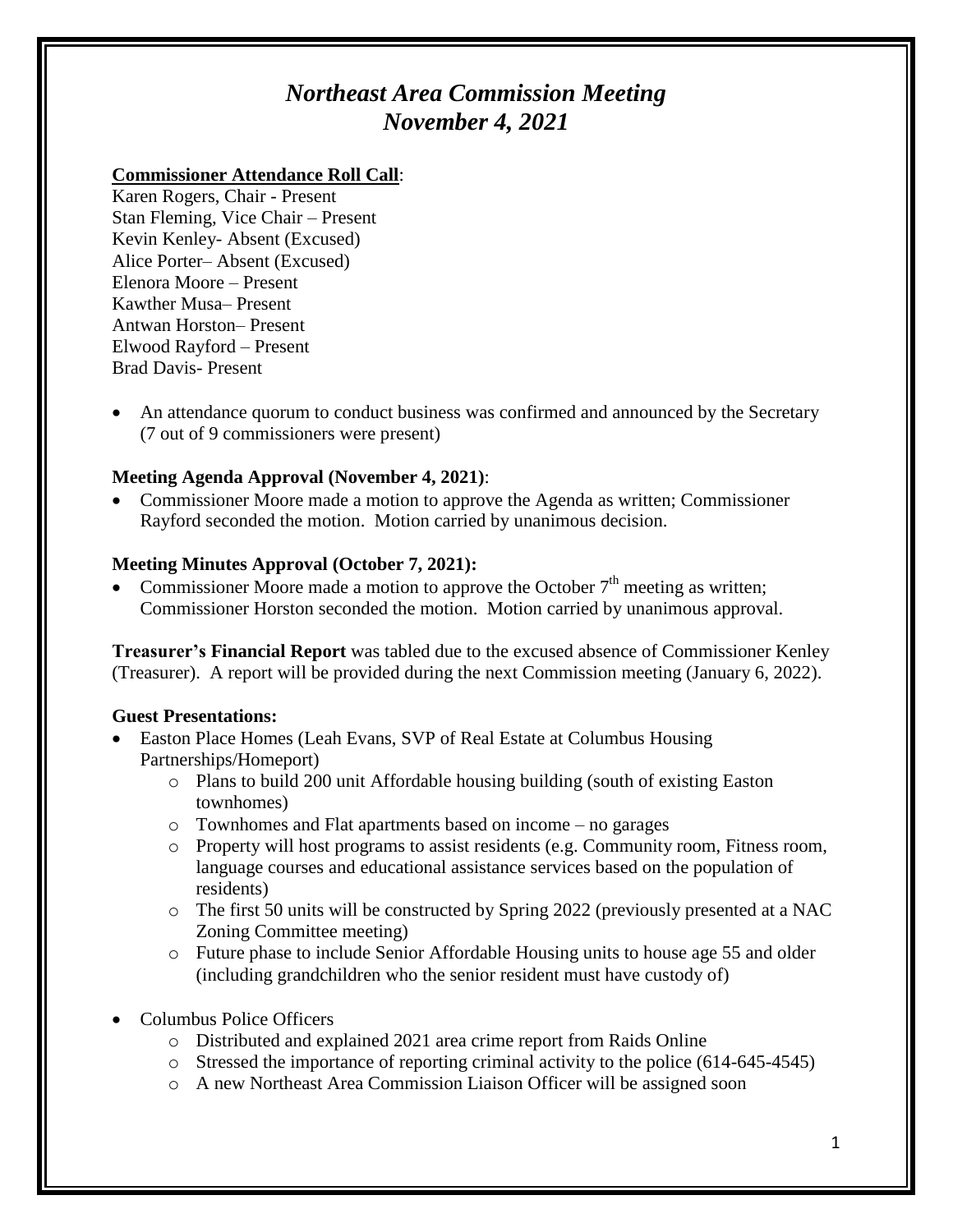# *Northeast Area Commission Meeting November 4, 2021*

#### **Commissioner Attendance Roll Call**:

Karen Rogers, Chair - Present Stan Fleming, Vice Chair – Present Kevin Kenley- Absent (Excused) Alice Porter– Absent (Excused) Elenora Moore – Present Kawther Musa– Present Antwan Horston– Present Elwood Rayford – Present Brad Davis- Present

 An attendance quorum to conduct business was confirmed and announced by the Secretary (7 out of 9 commissioners were present)

# **Meeting Agenda Approval (November 4, 2021)**:

• Commissioner Moore made a motion to approve the Agenda as written; Commissioner Rayford seconded the motion. Motion carried by unanimous decision.

#### **Meeting Minutes Approval (October 7, 2021):**

Commissioner Moore made a motion to approve the October  $7<sup>th</sup>$  meeting as written; Commissioner Horston seconded the motion. Motion carried by unanimous approval.

**Treasurer's Financial Report** was tabled due to the excused absence of Commissioner Kenley (Treasurer). A report will be provided during the next Commission meeting (January 6, 2022).

#### **Guest Presentations:**

- Easton Place Homes (Leah Evans, SVP of Real Estate at Columbus Housing Partnerships/Homeport)
	- o Plans to build 200 unit Affordable housing building (south of existing Easton townhomes)
	- o Townhomes and Flat apartments based on income no garages
	- o Property will host programs to assist residents (e.g. Community room, Fitness room, language courses and educational assistance services based on the population of residents)
	- o The first 50 units will be constructed by Spring 2022 (previously presented at a NAC Zoning Committee meeting)
	- o Future phase to include Senior Affordable Housing units to house age 55 and older (including grandchildren who the senior resident must have custody of)
- Columbus Police Officers
	- o Distributed and explained 2021 area crime report from Raids Online
	- $\circ$  Stressed the importance of reporting criminal activity to the police (614-645-4545)
	- o A new Northeast Area Commission Liaison Officer will be assigned soon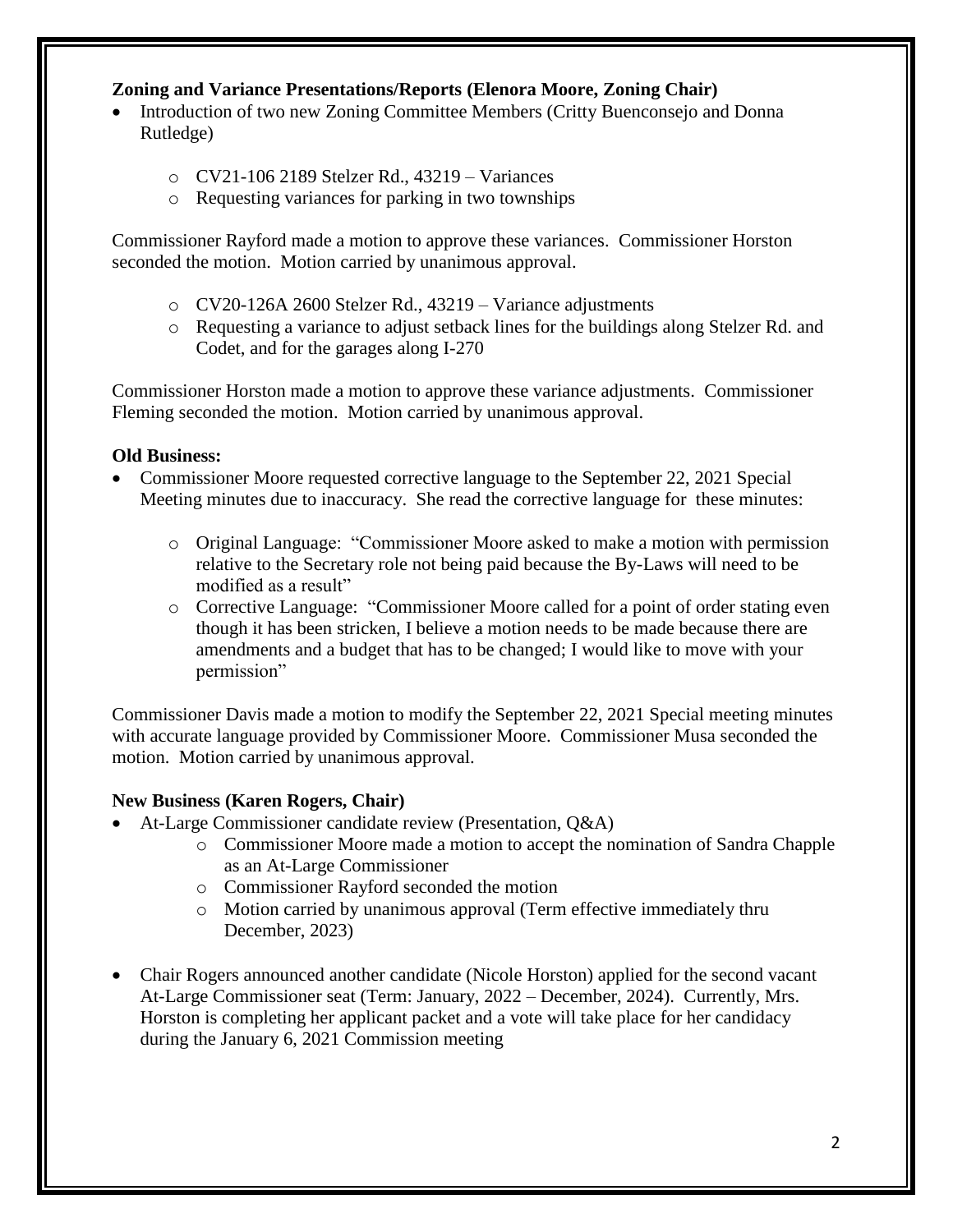# **Zoning and Variance Presentations/Reports (Elenora Moore, Zoning Chair)**

- Introduction of two new Zoning Committee Members (Critty Buenconsejo and Donna Rutledge)
	- o CV21-106 2189 Stelzer Rd., 43219 Variances
	- o Requesting variances for parking in two townships

Commissioner Rayford made a motion to approve these variances. Commissioner Horston seconded the motion. Motion carried by unanimous approval.

- o CV20-126A 2600 Stelzer Rd., 43219 Variance adjustments
- o Requesting a variance to adjust setback lines for the buildings along Stelzer Rd. and Codet, and for the garages along I-270

Commissioner Horston made a motion to approve these variance adjustments. Commissioner Fleming seconded the motion. Motion carried by unanimous approval.

#### **Old Business:**

- Commissioner Moore requested corrective language to the September 22, 2021 Special Meeting minutes due to inaccuracy. She read the corrective language for these minutes:
	- o Original Language: "Commissioner Moore asked to make a motion with permission relative to the Secretary role not being paid because the By-Laws will need to be modified as a result"
	- o Corrective Language: "Commissioner Moore called for a point of order stating even though it has been stricken, I believe a motion needs to be made because there are amendments and a budget that has to be changed; I would like to move with your permission"

Commissioner Davis made a motion to modify the September 22, 2021 Special meeting minutes with accurate language provided by Commissioner Moore. Commissioner Musa seconded the motion. Motion carried by unanimous approval.

# **New Business (Karen Rogers, Chair)**

- At-Large Commissioner candidate review (Presentation, Q&A)
	- o Commissioner Moore made a motion to accept the nomination of Sandra Chapple as an At-Large Commissioner
	- o Commissioner Rayford seconded the motion
	- o Motion carried by unanimous approval (Term effective immediately thru December, 2023)
- Chair Rogers announced another candidate (Nicole Horston) applied for the second vacant At-Large Commissioner seat (Term: January, 2022 – December, 2024). Currently, Mrs. Horston is completing her applicant packet and a vote will take place for her candidacy during the January 6, 2021 Commission meeting